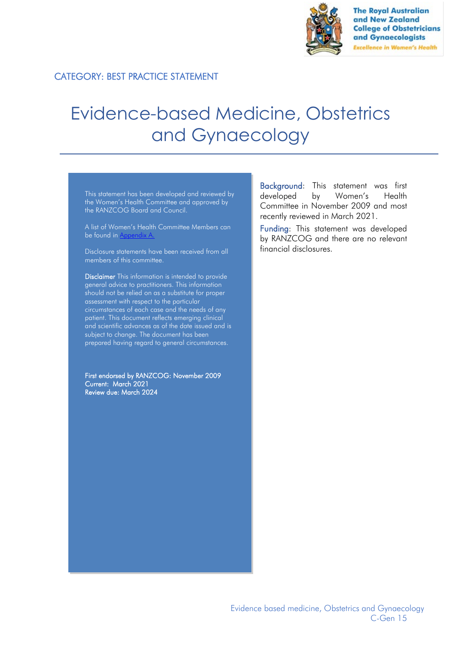

**The Royal Australian** and New Zealand **College of Obstetricians** and Gynaecologists **Excellence in Women's Health** 

# CATEGORY: BEST PRACTICE STATEMENT

# Evidence-based Medicine, Obstetrics and Gynaecology

This statement has been developed and reviewed by the Women's Health Committee and approved by the RANZCOG Board and Council.

A list of Women's Health Committee Members can be found in Appendix A.

Disclosure statements have been received from all members of this committee.

Disclaimer This information is intended to provide general advice to practitioners. This information should not be relied on as a substitute for proper assessment with respect to the particular circumstances of each case and the needs of any patient. This document reflects emerging clinical and scientific advances as of the date issued and is subject to change. The document has been prepared having regard to general circumstances.

First endorsed by RANZCOG: November 2009 Current: March 2021 Review due: March 2024

Background: This statement was first developed by Women's Health Committee in November 2009 and most recently reviewed in March 2021.

Funding: This statement was developed by RANZCOG and there are no relevant financial disclosures.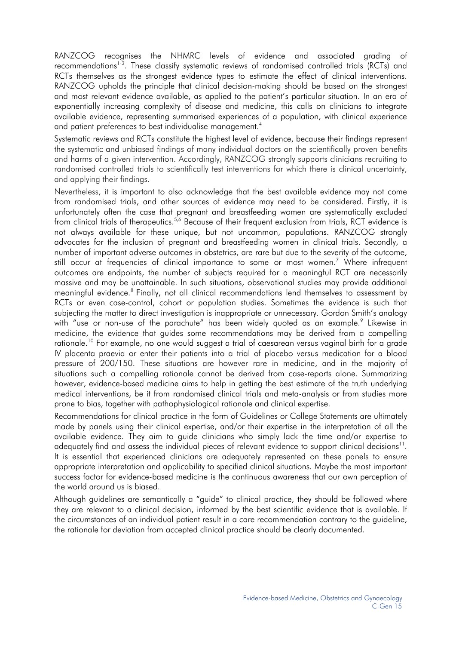RANZCOG recognises the NHMRC levels of evidence and associated grading of recommendations<sup>1-3</sup>. These classify systematic reviews of randomised controlled trials (RCTs) and RCTs themselves as the strongest evidence types to estimate the effect of clinical interventions. RANZCOG upholds the principle that clinical decision-making should be based on the strongest and most relevant evidence available, as applied to the patient's particular situation. In an era of exponentially increasing complexity of disease and medicine, this calls on clinicians to integrate available evidence, representing summarised experiences of a population, with clinical experience and patient preferences to best individualise management.<sup>4</sup>

Systematic reviews and RCTs constitute the highest level of evidence, because their findings represent the systematic and unbiased findings of many individual doctors on the scientifically proven benefits and harms of a given intervention. Accordingly, RANZCOG strongly supports clinicians recruiting to randomised controlled trials to scientifically test interventions for which there is clinical uncertainty, and applying their findings.

Nevertheless, it is important to also acknowledge that the best available evidence may not come from randomised trials, and other sources of evidence may need to be considered. Firstly, it is unfortunately often the case that pregnant and breastfeeding women are systematically excluded from clinical trials of therapeutics.<sup>5,6</sup> Because of their frequent exclusion from trials, RCT evidence is not always available for these unique, but not uncommon, populations. RANZCOG strongly advocates for the inclusion of pregnant and breastfeeding women in clinical trials. Secondly, a number of important adverse outcomes in obstetrics, are rare but due to the severity of the outcome, still occur at frequencies of clinical importance to some or most women. <sup>7</sup> Where infrequent outcomes are endpoints, the number of subjects required for a meaningful RCT are necessarily massive and may be unattainable. In such situations, observational studies may provide additional meaningful evidence. <sup>8</sup> Finally, not all clinical recommendations lend themselves to assessment by RCTs or even case-control, cohort or population studies. Sometimes the evidence is such that subjecting the matter to direct investigation is inappropriate or unnecessary. Gordon Smith's analogy with "use or non-use of the parachute" has been widely quoted as an example.<sup>9</sup> Likewise in medicine, the evidence that guides some recommendations may be derived from a compelling rationale.<sup>10</sup> For example, no one would suggest a trial of caesarean versus vaginal birth for a grade IV placenta praevia or enter their patients into a trial of placebo versus medication for a blood pressure of 200/150. These situations are however rare in medicine, and in the majority of situations such a compelling rationale cannot be derived from case-reports alone. Summarizing however, evidence-based medicine aims to help in getting the best estimate of the truth underlying medical interventions, be it from randomised clinical trials and meta-analysis or from studies more prone to bias, together with pathophysiological rationale and clinical expertise.

Recommendations for clinical practice in the form of Guidelines or College Statements are ultimately made by panels using their clinical expertise, and/or their expertise in the interpretation of all the available evidence. They aim to guide clinicians who simply lack the time and/or expertise to adequately find and assess the individual pieces of relevant evidence to support clinical decisions $^{\text{11}}$ . It is essential that experienced clinicians are adequately represented on these panels to ensure appropriate interpretation and applicability to specified clinical situations. Maybe the most important success factor for evidence-based medicine is the continuous awareness that our own perception of the world around us is biased.

Although guidelines are semantically a "guide" to clinical practice, they should be followed where they are relevant to a clinical decision, informed by the best scientific evidence that is available. If the circumstances of an individual patient result in a care recommendation contrary to the guideline, the rationale for deviation from accepted clinical practice should be clearly documented.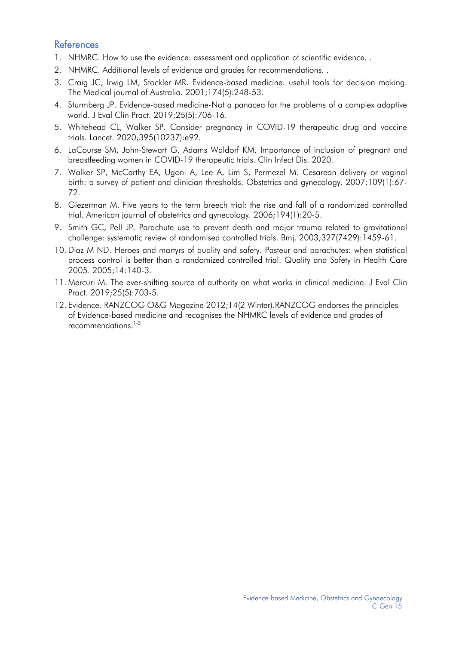# **References**

- 1. NHMRC. How to use the evidence: assessment and application of scientific evidence. .
- 2. NHMRC. Additional levels of evidence and grades for recommendations. .
- 3. Craig JC, Irwig LM, Stockler MR. Evidence-based medicine: useful tools for decision making. The Medical journal of Australia. 2001;174(5):248-53.
- 4. Sturmberg JP. Evidence-based medicine-Not a panacea for the problems of a complex adaptive world. J Eval Clin Pract. 2019;25(5):706-16.
- 5. Whitehead CL, Walker SP. Consider pregnancy in COVID-19 therapeutic drug and vaccine trials. Lancet. 2020;395(10237):e92.
- 6. LaCourse SM, John-Stewart G, Adams Waldorf KM. Importance of inclusion of pregnant and breastfeeding women in COVID-19 therapeutic trials. Clin Infect Dis. 2020.
- 7. Walker SP, McCarthy EA, Ugoni A, Lee A, Lim S, Permezel M. Cesarean delivery or vaginal birth: a survey of patient and clinician thresholds. Obstetrics and gynecology. 2007;109(1):67- 72.
- 8. Glezerman M. Five years to the term breech trial: the rise and fall of a randomized controlled trial. American journal of obstetrics and gynecology. 2006;194(1):20-5.
- 9. Smith GC, Pell JP. Parachute use to prevent death and major trauma related to gravitational challenge: systematic review of randomised controlled trials. Bmj. 2003;327(7429):1459-61.
- 10. Diaz M ND. Heroes and martyrs of quality and safety. Pasteur and parachutes: when statistical process control is better than a randomized controlled trial. Quality and Safety in Health Care 2005. 2005;14:140-3.
- 11. Mercuri M. The ever-shifting source of authority on what works in clinical medicine. J Eval Clin Pract. 2019;25(5):703-5.
- 12. Evidence. RANZCOG O&G Magazine 2012;14(2 Winter).RANZCOG endorses the principles of Evidence-based medicine and recognises the NHMRC levels of evidence and grades of recommendations. 1-3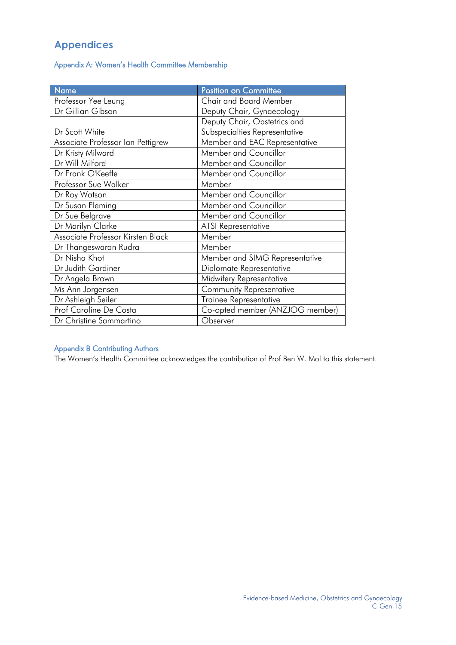# **Appendices**

Appendix A: Women's Health Committee Membership

| Name                              | Position on Committee           |
|-----------------------------------|---------------------------------|
| Professor Yee Leung               | <b>Chair and Board Member</b>   |
| Dr Gillian Gibson                 | Deputy Chair, Gynaecology       |
|                                   | Deputy Chair, Obstetrics and    |
| Dr Scott White                    | Subspecialties Representative   |
| Associate Professor Ian Pettigrew | Member and EAC Representative   |
| Dr Kristy Milward                 | Member and Councillor           |
| Dr Will Milford                   | Member and Councillor           |
| Dr Frank O'Keeffe                 | Member and Councillor           |
| Professor Sue Walker              | Member                          |
| Dr Roy Watson                     | Member and Councillor           |
| Dr Susan Fleming                  | Member and Councillor           |
| Dr Sue Belgrave                   | Member and Councillor           |
| Dr Marilyn Clarke                 | <b>ATSI Representative</b>      |
| Associate Professor Kirsten Black | Member                          |
| Dr Thangeswaran Rudra             | Member                          |
| Dr Nisha Khot                     | Member and SIMG Representative  |
| Dr Judith Gardiner                | Diplomate Representative        |
| Dr Angela Brown                   | Midwifery Representative        |
| Ms Ann Jorgensen                  | <b>Community Representative</b> |
| Dr Ashleigh Seiler                | Trainee Representative          |
| Prof Caroline De Costa            | Co-opted member (ANZJOG member) |
| Dr Christine Sammartino           | Observer                        |

# Appendix B Contributing Authors

The Women's Health Committee acknowledges the contribution of Prof Ben W. Mol to this statement.